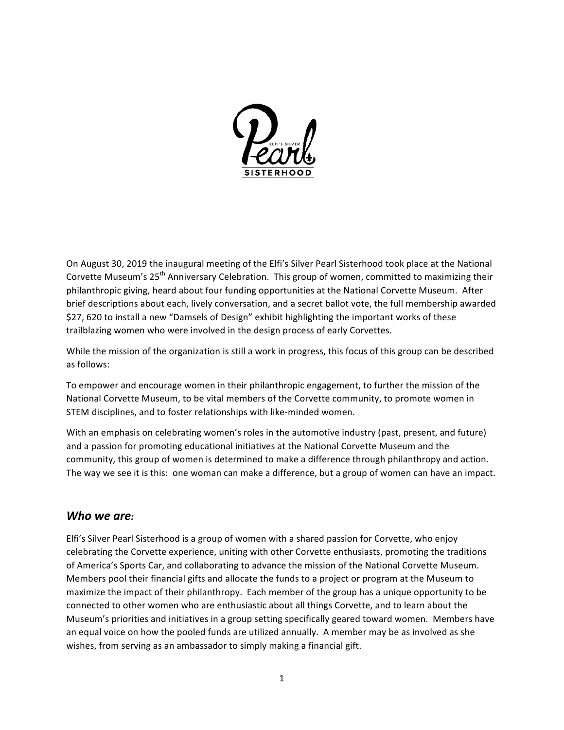

On August 30, 2019 the inaugural meeting of the Elfi's Silver Pearl Sisterhood took place at the National Corvette Museum's 25<sup>th</sup> Anniversary Celebration. This group of women, committed to maximizing their philanthropic giving, heard about four funding opportunities at the National Corvette Museum. After brief descriptions about each, lively conversation, and a secret ballot vote, the full membership awarded \$27, 620 to install a new "Damsels of Design" exhibit highlighting the important works of these trailblazing women who were involved in the design process of early Corvettes.

While the mission of the organization is still a work in progress, this focus of this group can be described as follows:

To empower and encourage women in their philanthropic engagement, to further the mission of the National Corvette Museum, to be vital members of the Corvette community, to promote women in STEM disciplines, and to foster relationships with like-minded women.

With an emphasis on celebrating women's roles in the automotive industry (past, present, and future) and a passion for promoting educational initiatives at the National Corvette Museum and the community, this group of women is determined to make a difference through philanthropy and action. The way we see it is this: one woman can make a difference, but a group of women can have an impact.

### *Who we are:*

Elfi's Silver Pearl Sisterhood is a group of women with a shared passion for Corvette, who enjoy celebrating the Corvette experience, uniting with other Corvette enthusiasts, promoting the traditions of America's Sports Car, and collaborating to advance the mission of the National Corvette Museum. Members pool their financial gifts and allocate the funds to a project or program at the Museum to maximize the impact of their philanthropy. Each member of the group has a unique opportunity to be connected to other women who are enthusiastic about all things Corvette, and to learn about the Museum's priorities and initiatives in a group setting specifically geared toward women. Members have an equal voice on how the pooled funds are utilized annually. A member may be as involved as she wishes, from serving as an ambassador to simply making a financial gift.